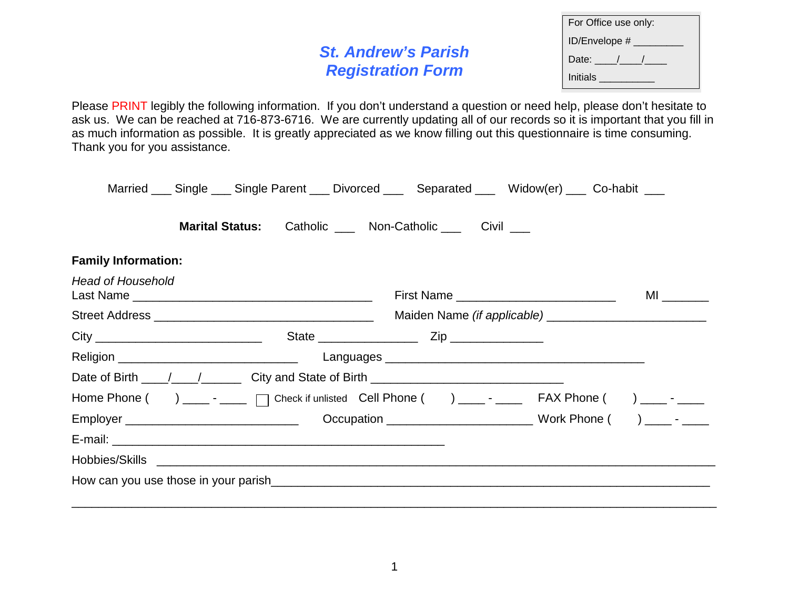# **St. Andrew's Parish Registration Form**

| For Office use only: |  |  |  |
|----------------------|--|--|--|
| ID/Envelope #        |  |  |  |
| Date: $\Box$         |  |  |  |
| Initials             |  |  |  |

Please PRINT legibly the following information. If you don't understand a question or need help, please don't hesitate to ask us. We can be reached at 716-873-6716. We are currently updating all of our records so it is important that you fill in as much information as possible. It is greatly appreciated as we know filling out this questionnaire is time consuming. Thank you for you assistance.

|                            |                                                         |  | Married ___ Single ___ Single Parent ___ Divorced ___ Separated ___ Widow(er) ___ Co-habit ___ |                                                                                                                |
|----------------------------|---------------------------------------------------------|--|------------------------------------------------------------------------------------------------|----------------------------------------------------------------------------------------------------------------|
|                            | Marital Status: Catholic ___ Non-Catholic ___ Civil ___ |  |                                                                                                |                                                                                                                |
| <b>Family Information:</b> |                                                         |  |                                                                                                |                                                                                                                |
| <b>Head of Household</b>   |                                                         |  | First Name _______________________________                                                     | MI and a structure of the structure of the structure of the structure of the structure of the structure of the |
|                            |                                                         |  |                                                                                                |                                                                                                                |
|                            |                                                         |  |                                                                                                |                                                                                                                |
|                            |                                                         |  |                                                                                                |                                                                                                                |
|                            |                                                         |  |                                                                                                |                                                                                                                |
|                            |                                                         |  |                                                                                                |                                                                                                                |
|                            |                                                         |  |                                                                                                |                                                                                                                |
|                            |                                                         |  |                                                                                                |                                                                                                                |
|                            |                                                         |  |                                                                                                |                                                                                                                |
|                            |                                                         |  |                                                                                                |                                                                                                                |

\_\_\_\_\_\_\_\_\_\_\_\_\_\_\_\_\_\_\_\_\_\_\_\_\_\_\_\_\_\_\_\_\_\_\_\_\_\_\_\_\_\_\_\_\_\_\_\_\_\_\_\_\_\_\_\_\_\_\_\_\_\_\_\_\_\_\_\_\_\_\_\_\_\_\_\_\_\_\_\_\_\_\_\_\_\_\_\_\_\_\_\_\_\_\_\_\_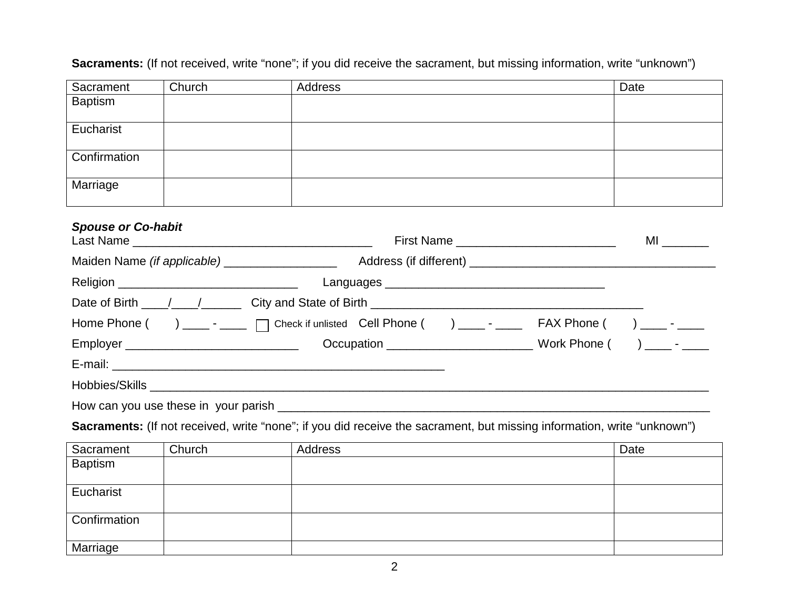| Sacrament                 | Church                                      | Address                                                                                              | Date |
|---------------------------|---------------------------------------------|------------------------------------------------------------------------------------------------------|------|
| <b>Baptism</b>            |                                             |                                                                                                      |      |
| Eucharist                 |                                             |                                                                                                      |      |
| Confirmation              |                                             |                                                                                                      |      |
| Marriage                  |                                             |                                                                                                      |      |
| <b>Spouse or Co-habit</b> |                                             | First Name                                                                                           | ML   |
|                           |                                             |                                                                                                      |      |
|                           | Religion __________________________________ |                                                                                                      |      |
|                           |                                             |                                                                                                      |      |
|                           |                                             | Home Phone () _____ - _____ [ Check if unlisted Cell Phone () _____ - _____ FAX Phone () ____ - ____ |      |
|                           |                                             |                                                                                                      |      |
|                           |                                             |                                                                                                      |      |
|                           |                                             |                                                                                                      |      |
|                           |                                             |                                                                                                      |      |

**Sacraments:** (If not received, write "none"; if you did receive the sacrament, but missing information, write "unknown")

**Sacraments:** (If not received, write "none"; if you did receive the sacrament, but missing information, write "unknown")

| Sacrament      | Church | Address | Date |
|----------------|--------|---------|------|
| <b>Baptism</b> |        |         |      |
|                |        |         |      |
| Eucharist      |        |         |      |
|                |        |         |      |
| Confirmation   |        |         |      |
|                |        |         |      |
| Marriage       |        |         |      |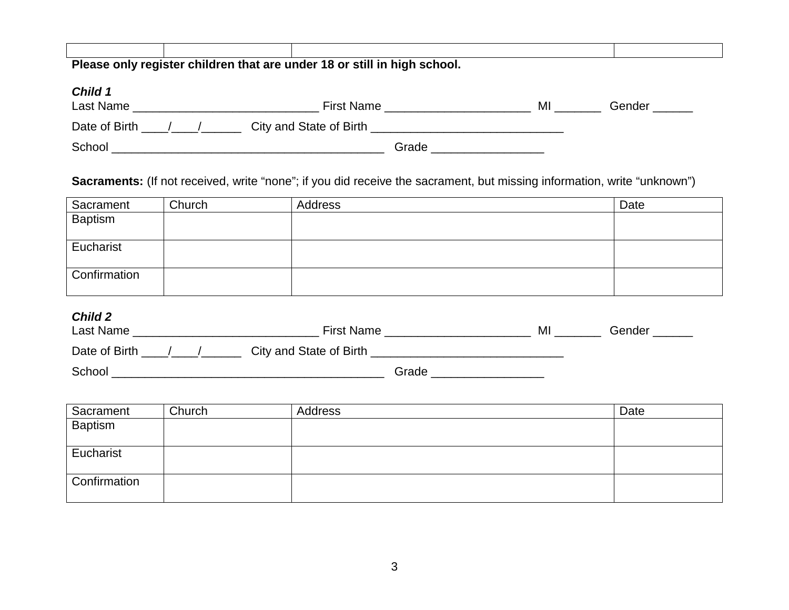| Please only register children that are under 18 or still in high school. |  |  |  |  |
|--------------------------------------------------------------------------|--|--|--|--|
|                                                                          |  |  |  |  |

#### **Child 1**

| <b>First Name</b><br>Last Name           |       | MI | Gender |
|------------------------------------------|-------|----|--------|
| City and State of Birth<br>Date of Birth |       |    |        |
| School                                   | Grade |    |        |

#### **Sacraments:** (If not received, write "none"; if you did receive the sacrament, but missing information, write "unknown")

| Sacrament      | Church | Address | Date |
|----------------|--------|---------|------|
| <b>Baptism</b> |        |         |      |
|                |        |         |      |
| Eucharist      |        |         |      |
|                |        |         |      |
| Confirmation   |        |         |      |
|                |        |         |      |

## **Child 2**

| <b>First Name</b><br>Last Name           |       | M | Gender |
|------------------------------------------|-------|---|--------|
| City and State of Birth<br>Date of Birth |       |   |        |
| School                                   | Grade |   |        |

| Sacrament      | Church | Address | Date |
|----------------|--------|---------|------|
| <b>Baptism</b> |        |         |      |
|                |        |         |      |
| Eucharist      |        |         |      |
|                |        |         |      |
| Confirmation   |        |         |      |
|                |        |         |      |